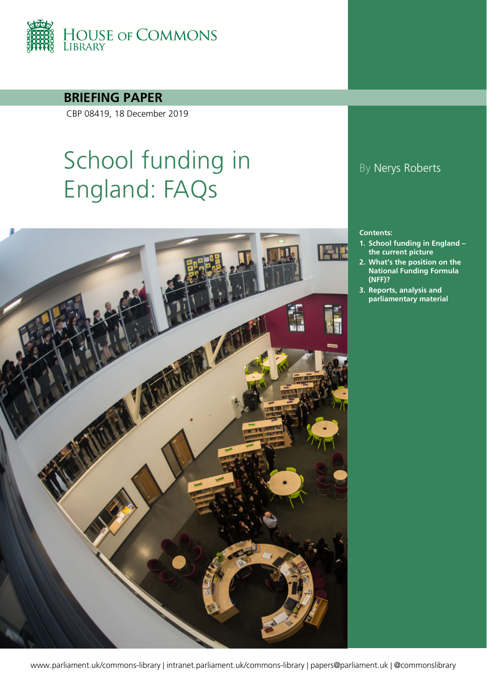

**BRIEFING PAPER**

CBP 08419, 18 December 2019

# School funding in England: FAQs



## By Nerys Roberts

**Contents:**

- **1. [School funding in England –](#page-5-0) [the current picture](#page-5-0)**
- **2. [What's the position on the](#page-12-0)  [National Funding Formula](#page-12-0)  [\(NFF\)?](#page-12-0)**
- **3. [Reports, analysis and](#page-14-0)  [parliamentary material](#page-14-0)**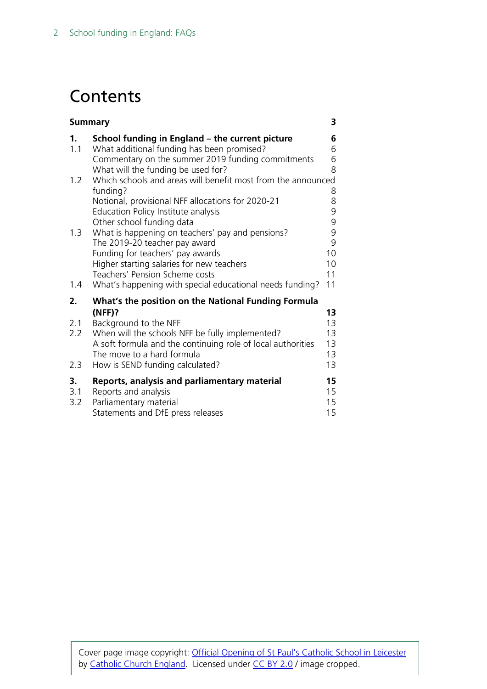## **Contents**

| 3<br><b>Summary</b>   |                                                                                                                                     |                      |
|-----------------------|-------------------------------------------------------------------------------------------------------------------------------------|----------------------|
| 1 <sub>1</sub><br>1.1 | School funding in England – the current picture<br>What additional funding has been promised?                                       | 6<br>6               |
|                       | Commentary on the summer 2019 funding commitments<br>What will the funding be used for?                                             | 6<br>8               |
| 1.2                   | Which schools and areas will benefit most from the announced<br>funding?                                                            | 8                    |
|                       | Notional, provisional NFF allocations for 2020-21<br>Education Policy Institute analysis                                            | 8<br>9               |
|                       | Other school funding data                                                                                                           | 9                    |
| 1.3                   | What is happening on teachers' pay and pensions?                                                                                    | 9<br>9               |
|                       | The 2019-20 teacher pay award<br>Funding for teachers' pay awards                                                                   | 10                   |
|                       | Higher starting salaries for new teachers                                                                                           | 10                   |
|                       | Teachers' Pension Scheme costs                                                                                                      | 11                   |
| 1.4                   | What's happening with special educational needs funding?                                                                            | 11                   |
| 2.                    | What's the position on the National Funding Formula                                                                                 |                      |
| 2.1                   | (NFF)?<br>Background to the NFF                                                                                                     | 13<br>13             |
| 2.2                   | When will the schools NFF be fully implemented?<br>A soft formula and the continuing role of local authorities                      | 13<br>13             |
|                       | The move to a hard formula                                                                                                          | 13                   |
| 2.3                   | How is SEND funding calculated?                                                                                                     | 13                   |
| 3.<br>3.1<br>3.2      | Reports, analysis and parliamentary material<br>Reports and analysis<br>Parliamentary material<br>Statements and DfE press releases | 15<br>15<br>15<br>15 |

Cover page image copyright: [Official Opening of St Paul's Catholic School in Leicester](https://www.flickr.com/photos/catholicism/16468633404/in/photolist-r6h3Xf-rKGV8L-s39HAw-rKFDJu-r6u43R-rKEfYG-nsTGgs-ad7xgp-9e4gXq-9uEcAJ-qrJGXJ-eepbm-6rcN13-5i9SLE-7Dkdgq-tQX4oR-mr81Y3-4kudXv-9H4VtM-gXHe1d-6Ya6wF-otXYGN-6HPwgi-7oBZwz-8eCKgN-sry38Y-6y4D85-rUtJdM-dZgc3Q-7ZMFCk-9u1Hrn-k7hLbk-87RBa8-dtZLj9-uyCEXn-a2NMC9-5RpyJF-e7gFa-4gEeri-9F5f4s-8RCnVm-pNdKo8-e5xi47-9VpaoU-9UGjcG-5qQmNL-89TAR6-dEuSpJ-quL4iA-fYs8c) by [Catholic Church England.](https://www.flickr.com/photos/catholicism/) Licensed under [CC BY 2.0](https://creativecommons.org/licenses/by-nc-sa/2.0/) / image cropped.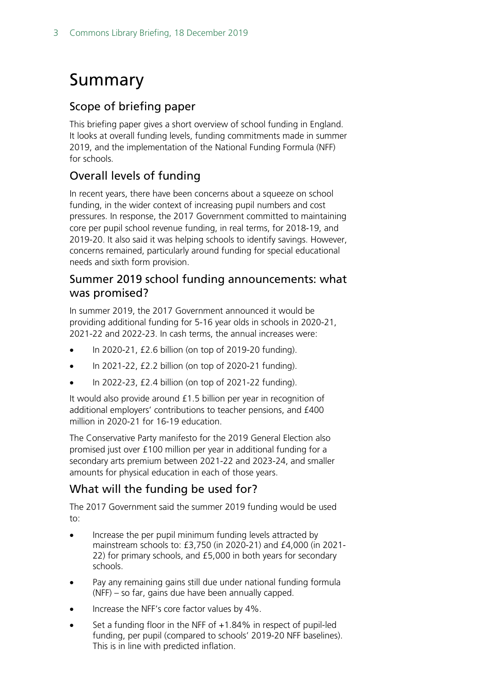## <span id="page-2-0"></span>Summary

#### Scope of briefing paper

This briefing paper gives a short overview of school funding in England. It looks at overall funding levels, funding commitments made in summer 2019, and the implementation of the National Funding Formula (NFF) for schools.

### Overall levels of funding

In recent years, there have been concerns about a squeeze on school funding, in the wider context of increasing pupil numbers and cost pressures. In response, the 2017 Government committed to maintaining core per pupil school revenue funding, in real terms, for 2018-19, and 2019-20. It also said it was helping schools to identify savings. However, concerns remained, particularly around funding for special educational needs and sixth form provision.

#### Summer 2019 school funding announcements: what was promised?

In summer 2019, the 2017 Government announced it would be providing additional funding for 5-16 year olds in schools in 2020-21, 2021-22 and 2022-23. In cash terms, the annual increases were:

- In 2020-21, £2.6 billion (on top of 2019-20 funding).
- $\bullet$  In 2021-22, £2.2 billion (on top of 2020-21 funding).
- In 2022-23, £2.4 billion (on top of 2021-22 funding).

It would also provide around £1.5 billion per year in recognition of additional employers' contributions to teacher pensions, and £400 million in 2020-21 for 16-19 education.

The Conservative Party manifesto for the 2019 General Election also promised just over £100 million per year in additional funding for a secondary arts premium between 2021-22 and 2023-24, and smaller amounts for physical education in each of those years.

#### What will the funding be used for?

The 2017 Government said the summer 2019 funding would be used to:

- Increase the per pupil minimum funding levels attracted by mainstream schools to: £3,750 (in 2020-21) and £4,000 (in 2021- 22) for primary schools, and £5,000 in both years for secondary schools.
- Pay any remaining gains still due under national funding formula (NFF) – so far, gains due have been annually capped.
- Increase the NFF's core factor values by 4%.
- Set a funding floor in the NFF of  $+1.84\%$  in respect of pupil-led funding, per pupil (compared to schools' 2019-20 NFF baselines). This is in line with predicted inflation.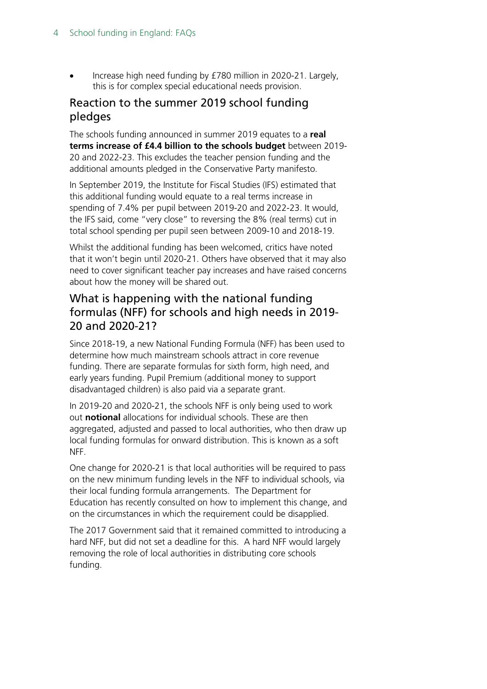• Increase high need funding by £780 million in 2020-21. Largely, this is for complex special educational needs provision.

#### Reaction to the summer 2019 school funding pledges

The schools funding announced in summer 2019 equates to a **real terms increase of £4.4 billion to the schools budget** between 2019- 20 and 2022-23. This excludes the teacher pension funding and the additional amounts pledged in the Conservative Party manifesto.

In September 2019, the Institute for Fiscal Studies (IFS) estimated that this additional funding would equate to a real terms increase in spending of 7.4% per pupil between 2019-20 and 2022-23. It would, the IFS said, come "very close" to reversing the 8% (real terms) cut in total school spending per pupil seen between 2009-10 and 2018-19.

Whilst the additional funding has been welcomed, critics have noted that it won't begin until 2020-21. Others have observed that it may also need to cover significant teacher pay increases and have raised concerns about how the money will be shared out.

#### What is happening with the national funding formulas (NFF) for schools and high needs in 2019- 20 and 2020-21?

Since 2018-19, a new National Funding Formula (NFF) has been used to determine how much mainstream schools attract in core revenue funding. There are separate formulas for sixth form, high need, and early years funding. Pupil Premium (additional money to support disadvantaged children) is also paid via a separate grant.

In 2019-20 and 2020-21, the schools NFF is only being used to work out **notional** allocations for individual schools. These are then aggregated, adjusted and passed to local authorities, who then draw up local funding formulas for onward distribution. This is known as a soft NFF.

One change for 2020-21 is that local authorities will be required to pass on the new minimum funding levels in the NFF to individual schools, via their local funding formula arrangements. The Department for Education has recently consulted on how to implement this change, and on the circumstances in which the requirement could be disapplied.

The 2017 Government said that it remained committed to introducing a hard NFF, but did not set a deadline for this. A hard NFF would largely removing the role of local authorities in distributing core schools funding.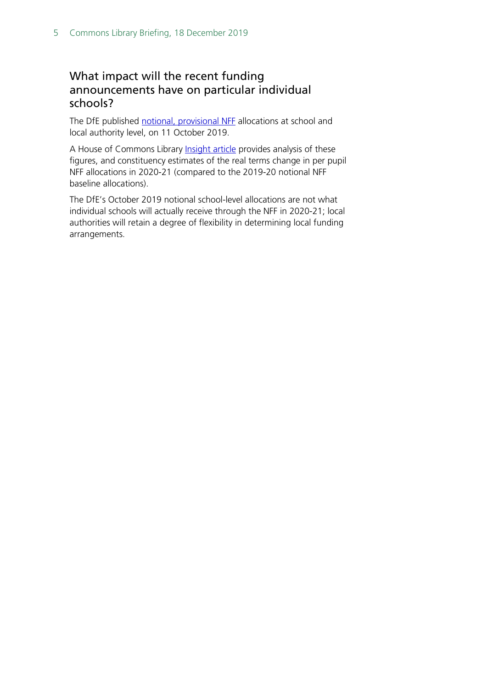#### What impact will the recent funding announcements have on particular individual schools?

The DfE published [notional, provisional NFF](https://www.gov.uk/government/publications/national-funding-formula-tables-for-schools-and-high-needs-2020-to-2021) allocations at school and local authority level, on 11 October 2019.

A House of Commons Library [Insight article](https://commonslibrary.parliament.uk/social-policy/education/provisional-school-funding-2020-21-constituency-and-school-level-data/) provides analysis of these figures, and constituency estimates of the real terms change in per pupil NFF allocations in 2020-21 (compared to the 2019-20 notional NFF baseline allocations).

The DfE's October 2019 notional school-level allocations are not what individual schools will actually receive through the NFF in 2020-21; local authorities will retain a degree of flexibility in determining local funding arrangements.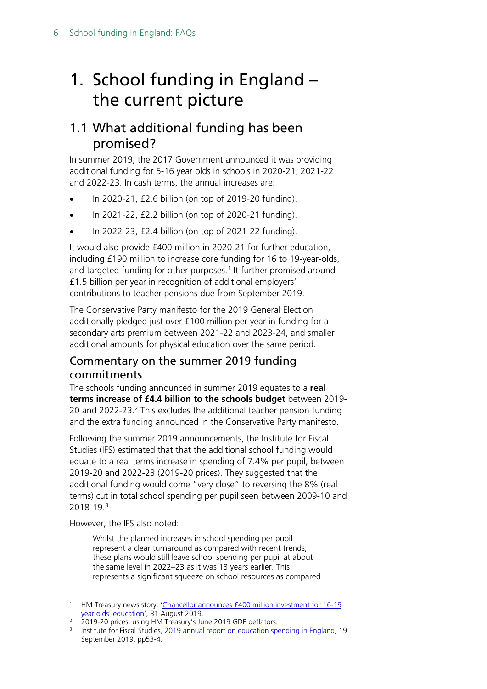## <span id="page-5-0"></span>1. School funding in England – the current picture

## <span id="page-5-1"></span>1.1 What additional funding has been promised?

In summer 2019, the 2017 Government announced it was providing additional funding for 5-16 year olds in schools in 2020-21, 2021-22 and 2022-23. In cash terms, the annual increases are:

- In 2020-21, £2.6 billion (on top of 2019-20 funding).
- In 2021-22, £2.2 billion (on top of 2020-21 funding).
- In 2022-23, £2.4 billion (on top of 2021-22 funding).

It would also provide £400 million in 2020-21 for further education, including £190 million to increase core funding for 16 to 19-year-olds, and targeted funding for other purposes.<sup>[1](#page-5-3)</sup> It further promised around £1.5 billion per year in recognition of additional employers' contributions to teacher pensions due from September 2019.

The Conservative Party manifesto for the 2019 General Election additionally pledged just over £100 million per year in funding for a secondary arts premium between 2021-22 and 2023-24, and smaller additional amounts for physical education over the same period.

#### <span id="page-5-2"></span>Commentary on the summer 2019 funding commitments

The schools funding announced in summer 2019 equates to a **real terms increase of £4.4 billion to the schools budget** between 2019- [2](#page-5-4)0 and 2022-23.<sup>2</sup> This excludes the additional teacher pension funding and the extra funding announced in the Conservative Party manifesto.

Following the summer 2019 announcements, the Institute for Fiscal Studies (IFS) estimated that that the additional school funding would equate to a real terms increase in spending of 7.4% per pupil, between 2019-20 and 2022-23 (2019-20 prices). They suggested that the additional funding would come "very close" to reversing the 8% (real terms) cut in total school spending per pupil seen between 2009-10 and 2018-19.[3](#page-5-5)

However, the IFS also noted:

Whilst the planned increases in school spending per pupil represent a clear turnaround as compared with recent trends, these plans would still leave school spending per pupil at about the same level in 2022–23 as it was 13 years earlier. This represents a significant squeeze on school resources as compared

<span id="page-5-3"></span><sup>&</sup>lt;sup>1</sup> HM Treasury news story, ['Chancellor announces £400 million investment for 16-19](https://www.gov.uk/government/news/chancellor-announces-400-million-investment-for-16-19-year-olds-education) vear olds' education', 31 August 2019.

<span id="page-5-5"></span><span id="page-5-4"></span><sup>&</sup>lt;sup>2</sup> 2019-20 prices, using HM Treasury's June 2019 GDP deflators.<br><sup>3</sup> Institute for Fiscal Studies, [2019 annual report on education spending in England,](https://www.ifs.org.uk/publications/14369) 19 September 2019, pp53-4.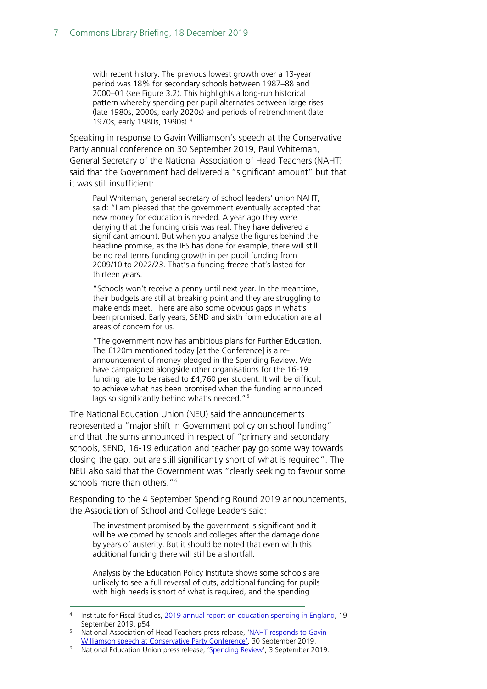with recent history. The previous lowest growth over a 13-year period was 18% for secondary schools between 1987–88 and 2000–01 (see Figure 3.2). This highlights a long-run historical pattern whereby spending per pupil alternates between large rises (late 1980s, 2000s, early 2020s) and periods of retrenchment (late 1970s, early 1980s, 1990s).[4](#page-6-0)

Speaking in response to Gavin Williamson's speech at the Conservative Party annual conference on 30 September 2019, Paul Whiteman, General Secretary of the National Association of Head Teachers (NAHT) said that the Government had delivered a "significant amount" but that it was still insufficient:

Paul Whiteman, general secretary of school leaders' union NAHT, said: "I am pleased that the government eventually accepted that new money for education is needed. A year ago they were denying that the funding crisis was real. They have delivered a significant amount. But when you analyse the figures behind the headline promise, as the IFS has done for example, there will still be no real terms funding growth in per pupil funding from 2009/10 to 2022/23. That's a funding freeze that's lasted for thirteen years.

"Schools won't receive a penny until next year. In the meantime, their budgets are still at breaking point and they are struggling to make ends meet. There are also some obvious gaps in what's been promised. Early years, SEND and sixth form education are all areas of concern for us.

"The government now has ambitious plans for Further Education. The £120m mentioned today [at the Conference] is a reannouncement of money pledged in the Spending Review. We have campaigned alongside other organisations for the 16-19 funding rate to be raised to £4,760 per student. It will be difficult to achieve what has been promised when the funding announced lags so significantly behind what's needed."<sup>[5](#page-6-1)</sup>

The National Education Union (NEU) said the announcements represented a "major shift in Government policy on school funding" and that the sums announced in respect of "primary and secondary schools, SEND, 16-19 education and teacher pay go some way towards closing the gap, but are still significantly short of what is required". The NEU also said that the Government was "clearly seeking to favour some schools more than others.<sup>"[6](#page-6-2)</sup>

Responding to the 4 September Spending Round 2019 announcements, the Association of School and College Leaders said:

The investment promised by the government is significant and it will be welcomed by schools and colleges after the damage done by years of austerity. But it should be noted that even with this additional funding there will still be a shortfall.

Analysis by the Education Policy Institute shows some schools are unlikely to see a full reversal of cuts, additional funding for pupils with high needs is short of what is required, and the spending

<span id="page-6-0"></span> <sup>4</sup> Institute for Fiscal Studies, [2019 annual report on education spending in England,](https://www.ifs.org.uk/publications/14369) 19 September 2019, p54.

<span id="page-6-1"></span><sup>5</sup> National Association of Head Teachers press release, ['NAHT responds to Gavin](https://www.naht.org.uk/news-and-opinion/press-room/naht-responds-to-gavin-williamson-speech-at-conservative-party-conference/)  [Williamson speech at Conservative Party Conference',](https://www.naht.org.uk/news-and-opinion/press-room/naht-responds-to-gavin-williamson-speech-at-conservative-party-conference/) 30 September 2019.

<span id="page-6-2"></span><sup>6</sup> National Education Union press release, ['Spending Review',](https://neu.org.uk/press-releases/spending-review) 3 September 2019.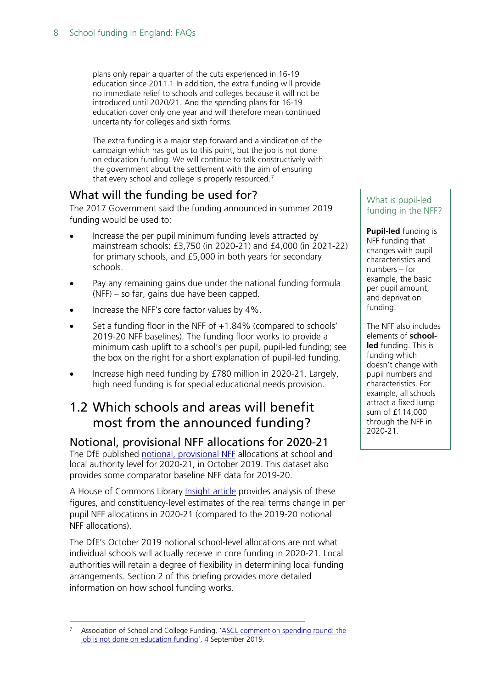plans only repair a quarter of the cuts experienced in 16-19 education since 2011[.1](https://www.ascl.org.uk/News/Our-news-and-press-releases/ASCL-comment-on-spending-round-the-job-is-not-done#fn1) In addition, the extra funding will provide no immediate relief to schools and colleges because it will not be introduced until 2020/21. And the spending plans for 16-19 education cover only one year and will therefore mean continued uncertainty for colleges and sixth forms.

The extra funding is a major step forward and a vindication of the campaign which has got us to this point, but the job is not done on education funding. We will continue to talk constructively with the government about the settlement with the aim of ensuring that every school and college is properly resourced.<sup>[7](#page-7-3)</sup>

#### <span id="page-7-0"></span>What will the funding be used for?

The 2017 Government said the funding announced in summer 2019 funding would be used to:

- Increase the per pupil minimum funding levels attracted by mainstream schools: £3,750 (in 2020-21) and £4,000 (in 2021-22) for primary schools, and £5,000 in both years for secondary schools.
- Pay any remaining gains due under the national funding formula (NFF) – so far, gains due have been capped.
- Increase the NFF's core factor values by 4%.
- Set a funding floor in the NFF of +1.84% (compared to schools' 2019-20 NFF baselines). The funding floor works to provide a minimum cash uplift to a school's per pupil, pupil-led funding; see the box on the right for a short explanation of pupil-led funding.
- Increase high need funding by £780 million in 2020-21. Largely, high need funding is for special educational needs provision.

## <span id="page-7-1"></span>1.2 Which schools and areas will benefit most from the announced funding?

<span id="page-7-2"></span>Notional, provisional NFF allocations for 2020-21

The DfE published [notional, provisional NFF](https://www.gov.uk/government/publications/national-funding-formula-tables-for-schools-and-high-needs-2020-to-2021) allocations at school and local authority level for 2020-21, in October 2019. This dataset also provides some comparator baseline NFF data for 2019-20.

A House of Commons Library **Insight article** provides analysis of these figures, and constituency-level estimates of the real terms change in per pupil NFF allocations in 2020-21 (compared to the 2019-20 notional NFF allocations).

The DfE's October 2019 notional school-level allocations are not what individual schools will actually receive in core funding in 2020-21. Local authorities will retain a degree of flexibility in determining local funding arrangements. Section 2 of this briefing provides more detailed information on how school funding works.

<span id="page-7-3"></span>Association of School and College Funding, 'ASCL comment on spending round: the [job is not done on education funding',](https://www.ascl.org.uk/News/Our-news-and-press-releases/ASCL-comment-on-spending-round-the-job-is-not-done) 4 September 2019.

#### What is pupil-led funding in the NFF?

**Pupil-led** funding is NFF funding that changes with pupil characteristics and numbers – for example, the basic per pupil amount, and deprivation funding.

The NFF also includes elements of **schoolled** funding. This is funding which doesn't change with pupil numbers and characteristics. For example, all schools attract a fixed lump sum of £114,000 through the NFF in 2020-21.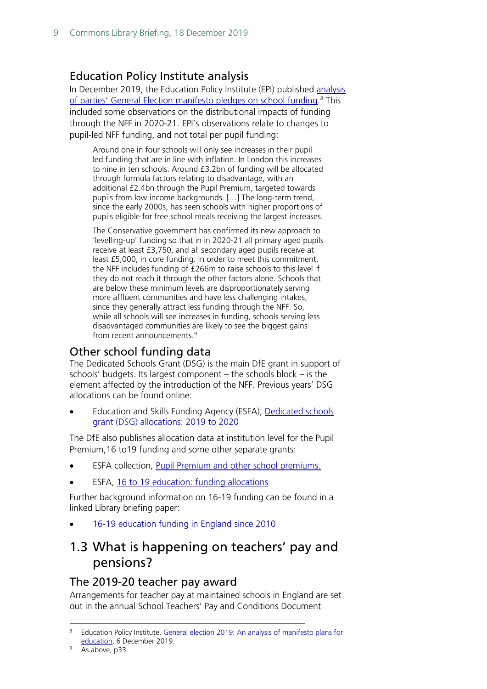#### <span id="page-8-0"></span>Education Policy Institute analysis

In December 2019, the Education Policy Institute (EPI) published analysis <u>[of parties' General Election manifesto pledges on school funding.](https://epi.org.uk/publications-and-research/ge_2019_analysis/)</u> <sup>[8](#page-8-4)</sup> This included some observations on the distributional impacts of funding through the NFF in 2020-21. EPI's observations relate to changes to pupil-led NFF funding, and not total per pupil funding:

Around one in four schools will only see increases in their pupil led funding that are in line with inflation. In London this increases to nine in ten schools. Around £3.2bn of funding will be allocated through formula factors relating to disadvantage, with an additional £2.4bn through the Pupil Premium, targeted towards pupils from low income backgrounds. […] The long-term trend, since the early 2000s, has seen schools with higher proportions of pupils eligible for free school meals receiving the largest increases.

The Conservative government has confirmed its new approach to 'levelling-up' funding so that in in 2020-21 all primary aged pupils receive at least £3,750, and all secondary aged pupils receive at least £5,000, in core funding. In order to meet this commitment, the NFF includes funding of £266m to raise schools to this level if they do not reach it through the other factors alone. Schools that are below these minimum levels are disproportionately serving more affluent communities and have less challenging intakes, since they generally attract less funding through the NFF. So, while all schools will see increases in funding, schools serving less disadvantaged communities are likely to see the biggest gains from recent announcements.<sup>[9](#page-8-5)</sup>

#### <span id="page-8-1"></span>Other school funding data

The Dedicated Schools Grant (DSG) is the main DfE grant in support of schools' budgets. Its largest component – the schools block – is the element affected by the introduction of the NFF. Previous years' DSG allocations can be found online:

Education and Skills Funding Agency (ESFA), Dedicated schools [grant \(DSG\) allocations: 2019 to 2020](https://www.gov.uk/government/publications/dedicated-schools-grant-dsg-2019-to-2020)

The DfE also publishes allocation data at institution level for the Pupil Premium,16 to19 funding and some other separate grants:

- ESFA collection, [Pupil Premium and other school premiums.](https://www.gov.uk/education/pupil-premium-and-other-school-premiums)
- ESFA, [16 to 19 education: funding allocations](https://www.gov.uk/guidance/16-to-19-education-funding-allocations#to-19-revenue-funding-information-for-academic-year-2020-to-2021)

Further background information on 16-19 funding can be found in a linked Library briefing paper:

• [16-19 education funding in England since 2010](https://researchbriefings.parliament.uk/ResearchBriefing/Summary/SN07019)

## <span id="page-8-2"></span>1.3 What is happening on teachers' pay and pensions?

#### <span id="page-8-3"></span>The 2019-20 teacher pay award

Arrangements for teacher pay at maintained schools in England are set out in the annual School Teachers' Pay and Conditions Document

<span id="page-8-4"></span><sup>&</sup>lt;sup>8</sup> Education Policy Institute, General election 2019: An analysis of manifesto plans for [education,](https://epi.org.uk/publications-and-research/ge_2019_analysis/) 6 December 2019.<br>As above, p33.

<span id="page-8-5"></span>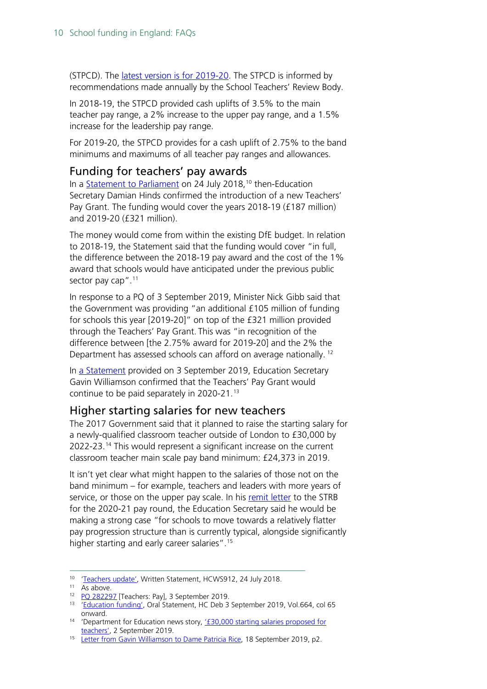(STPCD). The *latest version is for 2019-20*. The STPCD is informed by recommendations made annually by the School Teachers' Review Body.

In 2018-19, the STPCD provided cash uplifts of 3.5% to the main teacher pay range, a 2% increase to the upper pay range, and a 1.5% increase for the leadership pay range.

For 2019-20, the STPCD provides for a cash uplift of 2.75% to the band minimums and maximums of all teacher pay ranges and allowances.

#### <span id="page-9-0"></span>Funding for teachers' pay awards

In a **Statement to Parliament** on 24 July 2018,<sup>[10](#page-9-2)</sup> then-Education Secretary Damian Hinds confirmed the introduction of a new Teachers' Pay Grant. The funding would cover the years 2018-19 (£187 million) and 2019-20 (£321 million).

The money would come from within the existing DfE budget. In relation to 2018-19, the Statement said that the funding would cover "in full, the difference between the 2018-19 pay award and the cost of the 1% award that schools would have anticipated under the previous public sector pay cap".<sup>[11](#page-9-3)</sup>

In response to a PQ of 3 September 2019, Minister Nick Gibb said that the Government was providing "an additional £105 million of funding for schools this year [2019-20]" on top of the £321 million provided through the Teachers' Pay Grant. This was "in recognition of the difference between [the 2.75% award for 2019-20] and the 2% the Department has assessed schools can afford on average nationally.<sup>[12](#page-9-4)</sup>

In [a Statement](https://hansard.parliament.uk/commons/2019-09-03/debates/8A1DC868-C15C-46AF-94EE-7F2363E6D0BC/EducationFunding) provided on 3 September 2019, Education Secretary Gavin Williamson confirmed that the Teachers' Pay Grant would continue to be paid separately in 2020-21. [13](#page-9-5)

#### <span id="page-9-1"></span>Higher starting salaries for new teachers

The 2017 Government said that it planned to raise the starting salary for a newly-qualified classroom teacher outside of London to £30,000 by 2022-23.[14](#page-9-6) This would represent a significant increase on the current classroom teacher main scale pay band minimum: £24,373 in 2019.

It isn't yet clear what might happen to the salaries of those not on the band minimum – for example, teachers and leaders with more years of service, or those on the upper pay scale. In his [remit letter](https://www.gov.uk/government/publications/school-teachers-review-body-strb-remit-letter-for-2020) to the STRB for the 2020-21 pay round, the Education Secretary said he would be making a strong case "for schools to move towards a relatively flatter pay progression structure than is currently typical, alongside significantly higher starting and early career salaries".<sup>[15](#page-9-7)</sup>

<span id="page-9-5"></span><span id="page-9-4"></span>

<span id="page-9-3"></span><span id="page-9-2"></span><sup>&</sup>lt;sup>10</sup> '<u>Teachers update'</u>, Written Statement, HCWS912, 24 July 2018.<br><sup>11</sup> As above.<br><sup>12</sup> <u>PO 282297</u> [Teachers: Pay], 3 September 2019.<br><sup>13</sup> ['Education funding',](https://hansard.parliament.uk/commons/2019-09-03/debates/8A1DC868-C15C-46AF-94EE-7F2363E6D0BC/EducationFunding) Oral Statement, HC Deb 3 September 2019, Vol.664, col 65 onward.

<span id="page-9-6"></span><sup>&</sup>lt;sup>14</sup> 'Department for Education news story, '*£30,000 starting salaries proposed for* [teachers'](https://www.gov.uk/government/news/30000-starting-salaries-proposed-for-teachers), 2 September 2019.

<span id="page-9-7"></span><sup>&</sup>lt;sup>15</sup> [Letter from Gavin Williamson to Dame Patricia Rice,](https://www.gov.uk/government/publications/school-teachers-review-body-strb-remit-letter-for-2020) 18 September 2019, p2.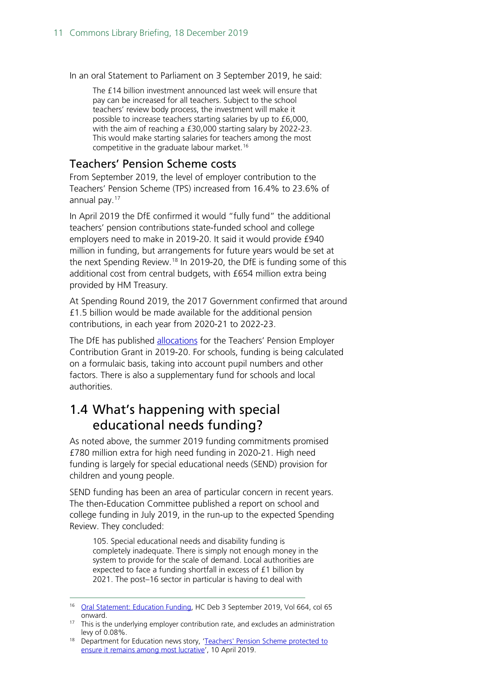In an oral Statement to Parliament on 3 September 2019, he said:

The £14 billion investment announced last week will ensure that pay can be increased for all teachers. Subject to the school teachers' review body process, the investment will make it possible to increase teachers starting salaries by up to £6,000, with the aim of reaching a £30,000 starting salary by 2022-23. This would make starting salaries for teachers among the most competitive in the graduate labour market.<sup>[16](#page-10-2)</sup>

#### <span id="page-10-0"></span>Teachers' Pension Scheme costs

From September 2019, the level of employer contribution to the Teachers' Pension Scheme (TPS) increased from 16.4% to 23.6% of annual pay.[17](#page-10-3)

In April 2019 the DfE confirmed it would "fully fund" the additional teachers' pension contributions state-funded school and college employers need to make in 2019-20. It said it would provide £940 million in funding, but arrangements for future years would be set at the next Spending Review.[18](#page-10-4) In 2019-20, the DfE is funding some of this additional cost from central budgets, with £654 million extra being provided by HM Treasury.

At Spending Round 2019, the 2017 Government confirmed that around £1.5 billion would be made available for the additional pension contributions, in each year from 2020-21 to 2022-23.

The DfE has published [allocations](https://www.gov.uk/government/publications/teachers-pay-grant-allocations-for-2019-to-2020-financial-year) for the Teachers' Pension Employer Contribution Grant in 2019-20. For schools, funding is being calculated on a formulaic basis, taking into account pupil numbers and other factors. There is also a supplementary fund for schools and local authorities.

### <span id="page-10-1"></span>1.4 What's happening with special educational needs funding?

As noted above, the summer 2019 funding commitments promised £780 million extra for high need funding in 2020-21. High need funding is largely for special educational needs (SEND) provision for children and young people.

SEND funding has been an area of particular concern in recent years. The then-Education Committee published a report on school and college funding in July 2019, in the run-up to the expected Spending Review. They concluded:

105. Special educational needs and disability funding is completely inadequate. There is simply not enough money in the system to provide for the scale of demand. Local authorities are expected to face a funding shortfall in excess of £1 billion by 2021. The post–16 sector in particular is having to deal with

<span id="page-10-2"></span><sup>&</sup>lt;sup>16</sup> [Oral Statement: Education Funding,](https://hansard.parliament.uk/Commons/2019-09-03/debates/8A1DC868-C15C-46AF-94EE-7F2363E6D0BC/EducationFunding#contribution-76A6D7A3-DD80-401E-9669-03B7FED8B5FE) HC Deb 3 September 2019, Vol 664, col 65 onward. 17 This is the underlying employer contribution rate, and excludes an administration

<span id="page-10-3"></span>levy of 0.08%.<br><sup>18</sup> Department for Education news story, 'Teachers' Pension Scheme protected to

<span id="page-10-4"></span>[ensure it remains among most lucrative'](https://www.gov.uk/government/news/teachers-pension-scheme-protected-to-ensure-it-remains-among-most-lucrative?utm_source=48af9fcf-2b9f-47db-8d5b-43f86366f6f8&utm_medium=email&utm_campaign=govuk-notifications&utm_content=immediate), 10 April 2019.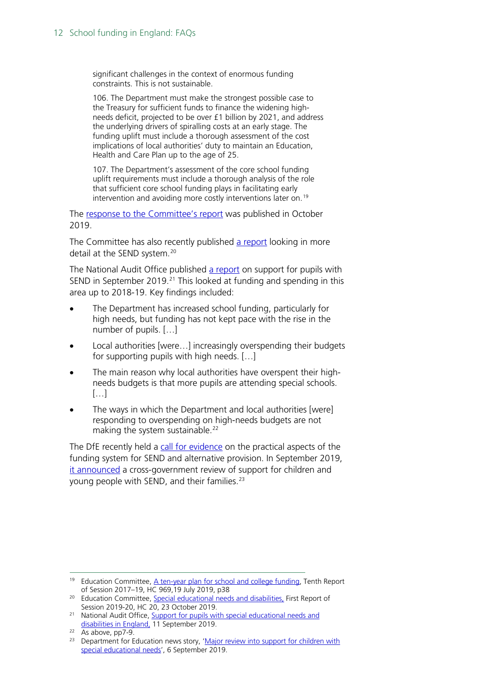significant challenges in the context of enormous funding constraints. This is not sustainable.

106. The Department must make the strongest possible case to the Treasury for sufficient funds to finance the widening highneeds deficit, projected to be over £1 billion by 2021, and address the underlying drivers of spiralling costs at an early stage. The funding uplift must include a thorough assessment of the cost implications of local authorities' duty to maintain an Education, Health and Care Plan up to the age of 25.

107. The Department's assessment of the core school funding uplift requirements must include a thorough analysis of the role that sufficient core school funding plays in facilitating early intervention and avoiding more costly interventions later on.<sup>[19](#page-11-0)</sup>

The [response to the Committee's report](https://www.parliament.uk/documents/commons-committees/Education/Correspondence/19-20/Government-Response-to-committee-tenth-report-of-Session-2017%E2%80%9319-a-ten-year-plan-for-school-and-college-funding-CP-190.pdf) was published in October 2019.

The Committee has also recently published [a report](https://publications.parliament.uk/pa/cm201920/cmselect/cmeduc/20/20.pdf) looking in more detail at the SEND system.<sup>[20](#page-11-1)</sup>

The National Audit Office published [a report](https://www.nao.org.uk/report/support-for-pupils-with-special-educational-needs-and-disabilities/) on support for pupils with SEND in September 2019.<sup>[21](#page-11-2)</sup> This looked at funding and spending in this area up to 2018-19. Key findings included:

- The Department has increased school funding, particularly for high needs, but funding has not kept pace with the rise in the number of pupils. […]
- Local authorities [were...] increasingly overspending their budgets for supporting pupils with high needs. […]
- The main reason why local authorities have overspent their highneeds budgets is that more pupils are attending special schools. […]
- The ways in which the Department and local authorities [were] responding to overspending on high-needs budgets are not making the system sustainable.<sup>[22](#page-11-3)</sup>

The DfE recently held a [call for evidence](https://www.gov.uk/government/consultations/send-and-ap-provision-call-for-evidence) on the practical aspects of the funding system for SEND and alternative provision. In September 2019, [it announced](https://www.gov.uk/government/news/major-review-into-support-for-children-with-special-educational-needs) a cross-government review of support for children and young people with SEND, and their families.<sup>[23](#page-11-4)</sup>

<span id="page-11-2"></span><sup>21</sup> National Audit Office, [Support for pupils with special educational needs and](https://www.nao.org.uk/report/support-for-pupils-with-special-educational-needs-and-disabilities/) disabilities in England, 11 September 2019.

<span id="page-11-0"></span><sup>&</sup>lt;sup>19</sup> Education Committee,  $\overline{A}$  ten-year plan for school and college funding, Tenth Report of Session 2017–19, HC 969,19 July 2019, p38

<span id="page-11-1"></span><sup>&</sup>lt;sup>20</sup> Education Committee, [Special educational needs and disabilities,](https://publications.parliament.uk/pa/cm201920/cmselect/cmeduc/20/20.pdf) First Report of Session 2019-20, HC 20, 23 October 2019.

<span id="page-11-4"></span><span id="page-11-3"></span><sup>&</sup>lt;sup>22</sup> As above, pp7-9. 22 As above, pp7-9. 22 As above, 22 As above, pp7-9. 23 Department for Education news story, 'Major review into support for children with [special educational needs'](https://www.gov.uk/government/news/major-review-into-support-for-children-with-special-educational-needs), 6 September 2019.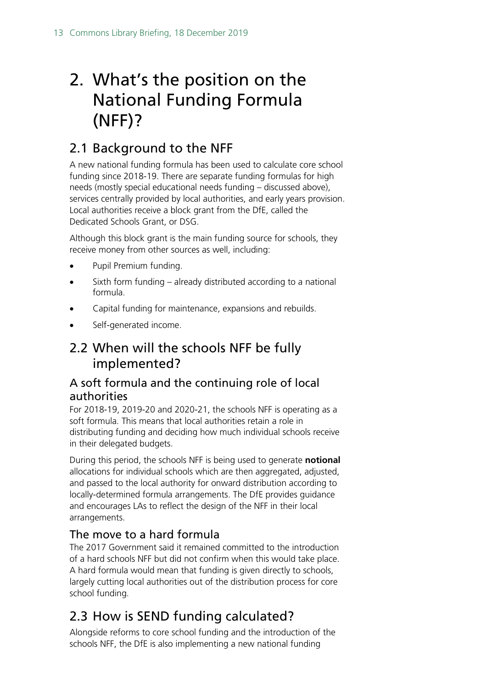## <span id="page-12-0"></span>2. What's the position on the National Funding Formula (NFF)?

## <span id="page-12-1"></span>2.1 Background to the NFF

A new national funding formula has been used to calculate core school funding since 2018-19. There are separate funding formulas for high needs (mostly special educational needs funding – discussed above), services centrally provided by local authorities, and early years provision. Local authorities receive a block grant from the DfE, called the Dedicated Schools Grant, or DSG.

Although this block grant is the main funding source for schools, they receive money from other sources as well, including:

- Pupil Premium funding.
- Sixth form funding already distributed according to a national formula.
- Capital funding for maintenance, expansions and rebuilds.
- Self-generated income.

## <span id="page-12-2"></span>2.2 When will the schools NFF be fully implemented?

#### <span id="page-12-3"></span>A soft formula and the continuing role of local authorities

For 2018-19, 2019-20 and 2020-21, the schools NFF is operating as a soft formula. This means that local authorities retain a role in distributing funding and deciding how much individual schools receive in their delegated budgets.

During this period, the schools NFF is being used to generate **notional** allocations for individual schools which are then aggregated, adjusted, and passed to the local authority for onward distribution according to locally-determined formula arrangements. The DfE provides guidance and encourages LAs to reflect the design of the NFF in their local arrangements.

### <span id="page-12-4"></span>The move to a hard formula

The 2017 Government said it remained committed to the introduction of a hard schools NFF but did not confirm when this would take place. A hard formula would mean that funding is given directly to schools, largely cutting local authorities out of the distribution process for core school funding.

## <span id="page-12-5"></span>2.3 How is SEND funding calculated?

Alongside reforms to core school funding and the introduction of the schools NFF, the DfE is also implementing a new national funding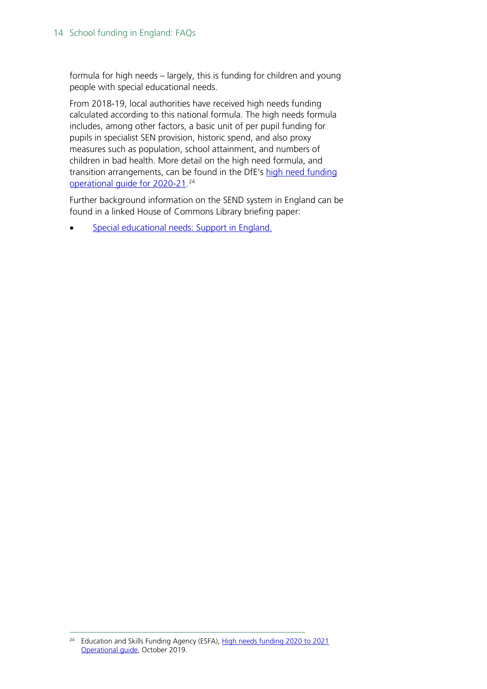formula for high needs – largely, this is funding for children and young people with special educational needs.

From 2018-19, local authorities have received high needs funding calculated according to this national formula. The high needs formula includes, among other factors, a basic unit of per pupil funding for pupils in specialist SEN provision, historic spend, and also proxy measures such as population, school attainment, and numbers of children in bad health. More detail on the high need formula, and transition arrangements, can be found in the DfE's high need funding [operational guide for 2020-21.](https://www.gov.uk/government/publications/high-needs-funding-arrangements-2020-to-2021) [24](#page-13-0)

Further background information on the SEND system in England can be found in a linked House of Commons Library briefing paper:

• [Special educational needs: Support in England.](https://researchbriefings.parliament.uk/ResearchBriefing/Summary/SN07020)

<span id="page-13-0"></span><sup>&</sup>lt;sup>24</sup> Education and Skills Funding Agency (ESFA), High needs funding 2020 to 2021 [Operational guide,](https://www.gov.uk/government/publications/high-needs-funding-arrangements-2020-to-2021) October 2019.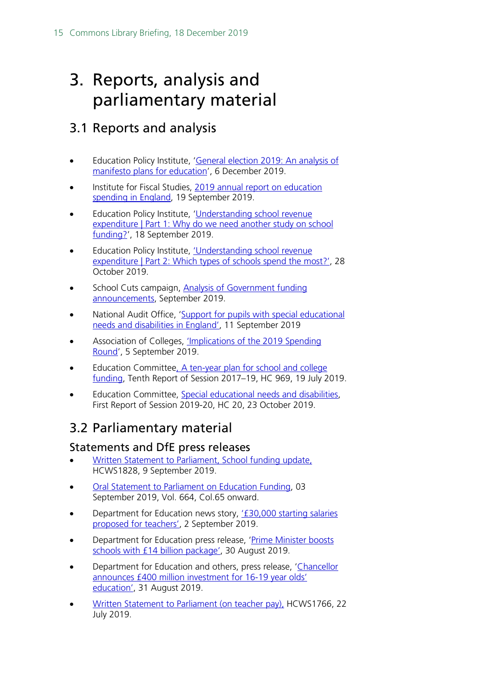## <span id="page-14-0"></span>3. Reports, analysis and parliamentary material

## <span id="page-14-1"></span>3.1 Reports and analysis

- Education Policy Institute, 'General election 2019: An analysis of [manifesto plans for education'](https://epi.org.uk/publications-and-research/ge_2019_analysis/), 6 December 2019.
- Institute for Fiscal Studies, 2019 annual report on education [spending in England,](https://www.ifs.org.uk/publications/14369) 19 September 2019.
- Education Policy Institute, 'Understanding school revenue expenditure | Part 1: Why do we need another study on school [funding?'](https://epi.org.uk/publications-and-research/understanding-school-revenue-expenditure-part-1/), 18 September 2019.
- Education Policy Institute, ['Understanding school revenue](https://epi.org.uk/publications-and-research/understanding-school-revenue-expenditure-part-2/)  [expenditure | Part 2: Which types of schools spend the most?',](https://epi.org.uk/publications-and-research/understanding-school-revenue-expenditure-part-2/) 28 October 2019.
- School Cuts campaign, Analysis of Government funding [announcements,](https://neu.org.uk/press-releases/school-funding-4-5-schools-worse-under-government-spending-plans-finds-new-analysis) September 2019.
- National Audit Office, ['Support for pupils with special educational](https://www.nao.org.uk/report/support-for-pupils-with-special-educational-needs-and-disabilities/)  [needs and disabilities in England'](https://www.nao.org.uk/report/support-for-pupils-with-special-educational-needs-and-disabilities/), 11 September 2019
- Association of Colleges, *'Implications of the 2019 Spending* [Round'](https://www.aoc.co.uk/news/implications-the-2020-1-spending-round-5-september-2019), 5 September 2019.
- Education Committe[e, A ten-year plan for](https://publications.parliament.uk/pa/cm201719/cmselect/cmeduc/969/969.pdf) school and college [funding,](https://publications.parliament.uk/pa/cm201719/cmselect/cmeduc/969/969.pdf) Tenth Report of Session 2017–19, HC 969, 19 July 2019.
- Education Committee, [Special educational needs and disabilities,](https://www.parliament.uk/business/committees/committees-a-z/commons-select/education-committee/inquiries/parliament-2017/special-educational-needs-and-disability-inquiry-17-19/) First Report of Session 2019-20, HC 20, 23 October 2019.

## <span id="page-14-2"></span>3.2 Parliamentary material

#### <span id="page-14-3"></span>Statements and DfE press releases

- [Written Statement to Parliament, School funding update,](https://www.parliament.uk/written-questions-answers-statements/written-statement/Commons/2019-09-09/HCWS1828) HCWS1828, 9 September 2019.
- Oral [Statement to Parliament on Education Funding,](https://hansard.parliament.uk/Commons/2019-09-03/debates/8A1DC868-C15C-46AF-94EE-7F2363E6D0BC/EducationFunding) 03 September 2019, Vol. 664, Col.65 onward.
- Department for Education news story, '*£30,000 starting salaries* [proposed for teachers'](https://www.gov.uk/government/news/30000-starting-salaries-proposed-for-teachers), 2 September 2019.
- Department for Education press release, 'Prime Minister boosts [schools with £14 billion package'](https://www.gov.uk/government/news/prime-minister-boosts-schools-with-14-billion-package), 30 August 2019.
- Department for Education and others, press release, ['Chancellor](https://www.gov.uk/government/news/chancellor-announces-400-million-investment-for-16-19-year-olds-education)  [announces £400 million investment for 16-19 year olds'](https://www.gov.uk/government/news/chancellor-announces-400-million-investment-for-16-19-year-olds-education)  [education'](https://www.gov.uk/government/news/chancellor-announces-400-million-investment-for-16-19-year-olds-education), 31 August 2019.
- [Written Statement to Parliament \(on teacher pay\),](https://www.parliament.uk/written-questions-answers-statements/written-statement/Commons/2019-07-22/HCWS1766) HCWS1766, 22 July 2019.